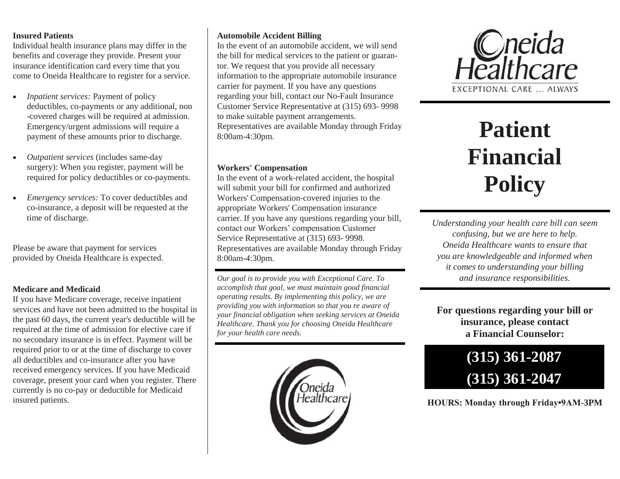#### **Insured Patients**

Individual health insurance plans may differ in the benefits and coverage they provide. Present your insurance identification card every time that you come to Oneida Healthcare to register for a service.

- *Inpatient services:* Payment of policy deductibles, co-payments or any additional, non -covered charges will be required at admission. Emergency/urgent admissions will require a payment of these amounts prior to discharge.
- *Outpatient services* (includes same-day surgery): When you register, payment will be required for policy deductibles or co-payments.
- *Emergency services:* To cover deductibles and co-insurance, a deposit will be requested at the time of discharge.

Please be aware that payment for services provided by Oneida Healthcare is expected.

# **Medicare and Medicaid**

If you have Medicare coverage, receive inpatient services and have not been admitted to the hospital in the past 60 days, the current year's deductible will be required at the time of admission for elective care if no secondary insurance is in effect. Payment will be required prior to or at the time of discharge to cover all deductibles and co-insurance after you have received emergency services. If you have Medicaid coverage, present your card when you register. There currently is no co-pay or deductible for Medicaid insured patients.

### **Automobile Accident Billing**

In the event of an automobile accident, we will send the bill for medical services to the patient or guarantor. We request that you provide all necessary information to the appropriate automobile insurance carrier for payment. If you have any questions regarding your bill, contact our No-Fault Insurance Customer Service Representative at (315) 693- 9998 to make suitable payment arrangements. Representatives are available Monday through Friday 8:00am-4:30pm.

#### **Workers' Compensation**

In the event of a work-related accident, the hospital will submit your bill for confirmed and authorized Workers' Compensation-covered injuries to the appropriate Workers' Compensation insurance carrier. If you have any questions regarding your bill, contact our Workers' compensation Customer Service Representative at (315) 693- 9998. Representatives are available Monday through Friday 8:00am-4:30pm.

*Our goal is to provide you with Exceptional Care. To accomplish that goal, we must maintain good financial operating results. By implementing this policy, we are providing you with information so that you re aware of your financial obligation when seeking services at Oneida Healthcare. Thank you for choosing Oneida Healthcare for your health care needs.* 





# **Patient Financial Policy**

*Understanding your health care bill can seem confusing, but we are here to help. Oneida Healthcare wants to ensure that you are knowledgeable and informed when it comes to understanding your billing and insurance responsibilities.* 

**For questions regarding your bill or insurance, please contact a Financial Counselor:** 

# **(315) 361-2087 (315) 361-2047**

**HOURS: Monday through Friday•9AM-3PM**